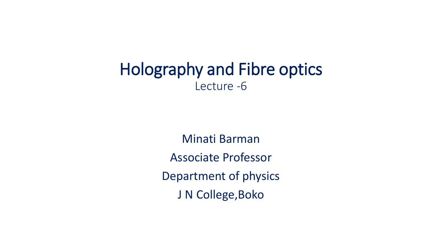## Holography and Fibre optics Lecture -6

Minati Barman Associate Professor Department of physics J N College, Boko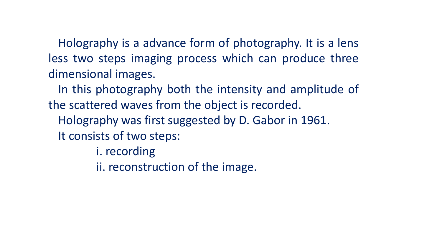Holography is a advance form of photography. It is a lens less two steps imaging process which can produce three dimensional images.

In this photography both the intensity and amplitude of the scattered waves from the object is recorded.

Holography was first suggested by D. Gabor in 1961. It consists of two steps:

- i. recording
- ii. reconstruction of the image.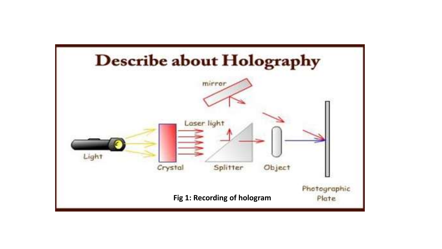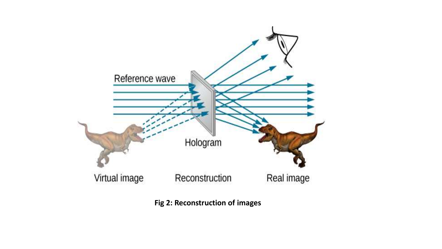

**Fig 2: Reconstruction of images**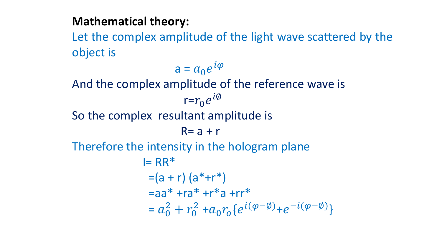## **Mathematical theory:**

Let the complex amplitude of the light wave scattered by the object is

$$
a = a_0 e^{i\varphi}
$$

And the complex amplitude of the reference wave is

$$
r=r_0e^{i\phi}
$$

So the complex resultant amplitude is

$$
R = a + r
$$

Therefore the intensity in the hologram plane

$$
I = RR^*
$$
  
= (a + r) (a<sup>\*</sup>+r<sup>\*</sup>)  
= aa<sup>\*</sup> + ra<sup>\*</sup> +r<sup>\*</sup>a +rr<sup>\*</sup>  
= a<sup>2</sup><sub>0</sub> + r<sup>2</sup><sub>0</sub> + a<sub>0</sub>r<sub>0</sub> {e<sup>i(\varphi - \varnothing)</sup> + e<sup>-i(\varphi - \varnothing)</sup>}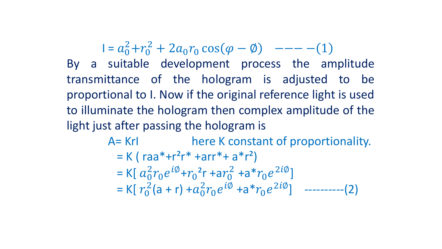$I = a_0^2 + r_0^2 + 2a_0r_0 \cos(\varphi - \varphi) \quad --- (1$ By a suitable development process the amplitude transmittance of the hologram is adjusted to be proportional to I. Now if the original reference light is used to illuminate the hologram then complex amplitude of the light just after passing the hologram is

> A = KrI here K constant of proportionality.  $= K (raa*+r<sup>2</sup>r* + arr* + a* r<sup>2</sup>)$ = K[ $a_0^2 r_0 e^{i\phi} + r_0^2 r + ar_0^2 + ar^2 r_0 e^{2i\phi}$ ] = K[ $r_0^2$ (a + r) + $a_0^2 r_0 e^{i\phi}$  +a\* $r_0 e^{2i\phi}$ ] ----------(2)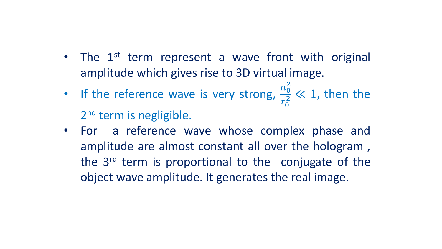- The 1<sup>st</sup> term represent a wave front with original amplitude which gives rise to 3D virtual image.
- If the reference wave is very strong,  $a_0^2$  $r_0^2$  $\frac{0}{2} \ll 1$ , then the 2<sup>nd</sup> term is negligible.
- For a reference wave whose complex phase and amplitude are almost constant all over the hologram , the 3<sup>rd</sup> term is proportional to the conjugate of the object wave amplitude. It generates the real image.